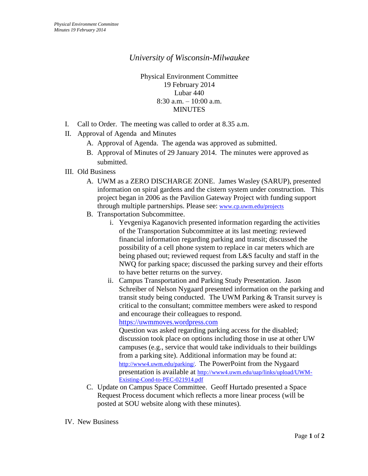## *University of Wisconsin-Milwaukee*

Physical Environment Committee 19 February 2014 Lubar 440 8:30 a.m. – 10:00 a.m. MINUTES

- I. Call to Order. The meeting was called to order at 8.35 a.m.
- II. Approval of Agenda and Minutes
	- A. Approval of Agenda. The agenda was approved as submitted.
	- B. Approval of Minutes of 29 January 2014. The minutes were approved as submitted.
- III. Old Business
	- A. UWM as a ZERO DISCHARGE ZONE. James Wasley (SARUP), presented information on spiral gardens and the cistern system under construction. This project began in 2006 as the Pavilion Gateway Project with funding support through multiple partnerships. Please see: [www.cp.uwm.edu/projects](http://www.cp.uwm.edu/projects)
	- B. Transportation Subcommittee.
		- i. Yevgeniya Kaganovich presented information regarding the activities of the Transportation Subcommittee at its last meeting: reviewed financial information regarding parking and transit; discussed the possibility of a cell phone system to replace in car meters which are being phased out; reviewed request from L&S faculty and staff in the NWQ for parking space; discussed the parking survey and their efforts to have better returns on the survey.
		- ii. Campus Transportation and Parking Study Presentation. Jason Schreiber of Nelson Nygaard presented information on the parking and transit study being conducted. The UWM Parking & Transit survey is critical to the consultant; committee members were asked to respond and encourage their colleagues to respond.

[https://uwmmoves.wordpress.com](https://uwmmoves.wordpress.com/)

Question was asked regarding parking access for the disabled; discussion took place on options including those in use at other UW campuses (e.g., service that would take individuals to their buildings from a parking site). Additional information may be found at: [http://www4.uwm.edu/parking/.](http://www4.uwm.edu/parking/) The PowerPoint from the Nygaard presentation is available at [http://www4.uwm.edu/uap/links/upload/UWM-](http://www4.uwm.edu/uap/links/upload/UWM-Existing-Cond-to-PEC-021914.pdf)[Existing-Cond-to-PEC-021914.pdf](http://www4.uwm.edu/uap/links/upload/UWM-Existing-Cond-to-PEC-021914.pdf)

C. Update on Campus Space Committee. Geoff Hurtado presented a Space Request Process document which reflects a more linear process (will be posted at SOU website along with these minutes).

IV. New Business